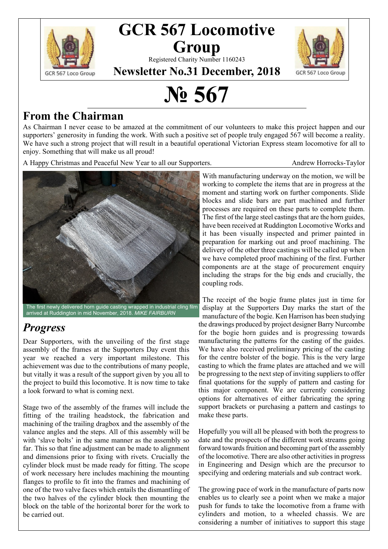

## **GCR 567 Locomotive Group**

Registered Charity Number 1160243



**Newsletter No.31 December, 2018**

# **№ 567**

#### **From the Chairman**

As Chairman I never cease to be amazed at the commitment of our volunteers to make this project happen and our supporters' generosity in funding the work. With such a positive set of people truly engaged 567 will become a reality. We have such a strong project that will result in a beautiful operational Victorian Express steam locomotive for all to enjoy. Something that will make us all proud!

A Happy Christmas and Peaceful New Year to all our Supporters. Andrew Horrocks-Taylor



The first newly delivered horn guide casting wrapped in industrial cling film arrived at Ruddington in mid November, 2018. *MIKE FAIRBURN*

## *Progress*

Dear Supporters, with the unveiling of the first stage assembly of the frames at the Supporters Day event this year we reached a very important milestone. This achievement was due to the contributions of many people, but vitally it was a result of the support given by you all to the project to build this locomotive. It is now time to take a look forward to what is coming next.

Stage two of the assembly of the frames will include the fitting of the trailing headstock, the fabrication and machining of the trailing dragbox and the assembly of the valance angles and the steps. All of this assembly will be with 'slave bolts' in the same manner as the assembly so far. This so that fine adjustment can be made to alignment and dimensions prior to fixing with rivets. Crucially the cylinder block must be made ready for fitting. The scope of work necessary here includes machining the mounting flanges to profile to fit into the frames and machining of one of the two valve faces which entails the dismantling of the two halves of the cylinder block then mounting the block on the table of the horizontal borer for the work to be carried out.

With manufacturing underway on the motion, we will be working to complete the items that are in progress at the moment and starting work on further components. Slide blocks and slide bars are part machined and further processes are required on these parts to complete them. The first of the large steel castings that are the horn guides, have been received at Ruddington Locomotive Works and it has been visually inspected and primer painted in preparation for marking out and proof machining. The delivery of the other three castings will be called up when we have completed proof machining of the first. Further components are at the stage of procurement enquiry including the straps for the big ends and crucially, the coupling rods.

The receipt of the bogie frame plates just in time for display at the Supporters Day marks the start of the manufacture of the bogie. Ken Harrison has been studying the drawings produced by project designer Barry Nurcombe for the bogie horn guides and is progressing towards manufacturing the patterns for the casting of the guides. We have also received preliminary pricing of the casting for the centre bolster of the bogie. This is the very large casting to which the frame plates are attached and we will be progressing to the next step of inviting suppliers to offer final quotations for the supply of pattern and casting for this major component. We are currently considering options for alternatives of either fabricating the spring support brackets or purchasing a pattern and castings to make these parts.

Hopefully you will all be pleased with both the progress to date and the prospects of the different work streams going forward towards fruition and becoming part of the assembly of the locomotive. There are also other activities in progress in Engineering and Design which are the precursor to specifying and ordering materials and sub contract work.

The growing pace of work in the manufacture of parts now enables us to clearly see a point when we make a major push for funds to take the locomotive from a frame with cylinders and motion, to a wheeled chassis. We are considering a number of initiatives to support this stage